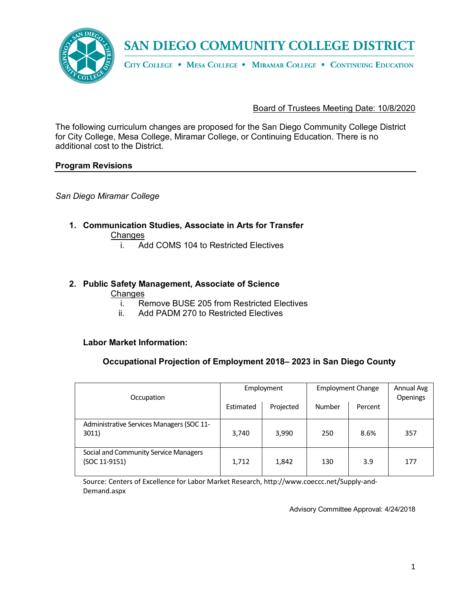

# SAN DIEGO COMMUNITY COLLEGE DISTRICT

CITY COLLEGE . MESA COLLEGE . MIRAMAR COLLEGE . CONTINUING EDUCATION

Board of Trustees Meeting Date: 10/8/2020

The following curriculum changes are proposed for the San Diego Community College District for City College, Mesa College, Miramar College, or Continuing Education. There is no additional cost to the District.

#### **Program Revisions**

*San Diego Miramar College*

**1. Communication Studies, Associate in Arts for Transfer**

**Changes** 

i. Add COMS 104 to Restricted Electives

## **2. Public Safety Management, Associate of Science**

#### Changes

- i. Remove BUSE 205 from Restricted Electives<br>ii. Add PADM 270 to Restricted Electives
- Add PADM 270 to Restricted Electives

#### **Labor Market Information:**

#### **Occupational Projection of Employment 2018– 2023 in San Diego County**

| Occupation                                             | Employment |           | <b>Employment Change</b> |         | Annual Avg<br>Openings |
|--------------------------------------------------------|------------|-----------|--------------------------|---------|------------------------|
|                                                        | Estimated  | Projected | Number                   | Percent |                        |
| Administrative Services Managers (SOC 11-<br>3011)     | 3,740      | 3,990     | 250                      | 8.6%    | 357                    |
| Social and Community Service Managers<br>(SOC 11-9151) | 1,712      | 1,842     | 130                      | 3.9     | 177                    |

Source: Centers of Excellence for Labor Market Research, http://www.coeccc.net/Supply-and-Demand.aspx

Advisory Committee Approval: 4/24/2018